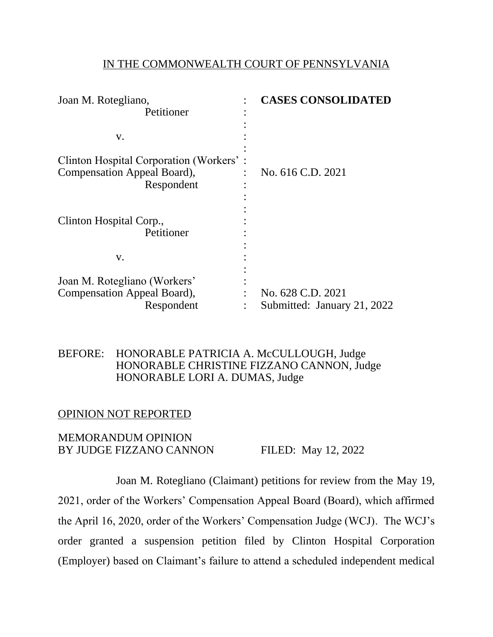### IN THE COMMONWEALTH COURT OF PENNSYLVANIA

| Joan M. Rotegliano,                     | <b>CASES CONSOLIDATED</b>   |
|-----------------------------------------|-----------------------------|
| Petitioner                              |                             |
|                                         |                             |
| V.                                      |                             |
|                                         |                             |
| Clinton Hospital Corporation (Workers': |                             |
| Compensation Appeal Board),             | No. 616 C.D. 2021           |
| Respondent                              |                             |
|                                         |                             |
|                                         |                             |
| Clinton Hospital Corp.,                 |                             |
| Petitioner                              |                             |
|                                         |                             |
| V.                                      |                             |
|                                         |                             |
| Joan M. Rotegliano (Workers'            |                             |
| Compensation Appeal Board),             | No. 628 C.D. 2021           |
| Respondent                              | Submitted: January 21, 2022 |

## BEFORE: HONORABLE PATRICIA A. McCULLOUGH, Judge HONORABLE CHRISTINE FIZZANO CANNON, Judge HONORABLE LORI A. DUMAS, Judge

## OPINION NOT REPORTED

### MEMORANDUM OPINION BY JUDGE FIZZANO CANNON FILED: May 12, 2022

Joan M. Rotegliano (Claimant) petitions for review from the May 19, 2021, order of the Workers' Compensation Appeal Board (Board), which affirmed the April 16, 2020, order of the Workers' Compensation Judge (WCJ). The WCJ's order granted a suspension petition filed by Clinton Hospital Corporation (Employer) based on Claimant's failure to attend a scheduled independent medical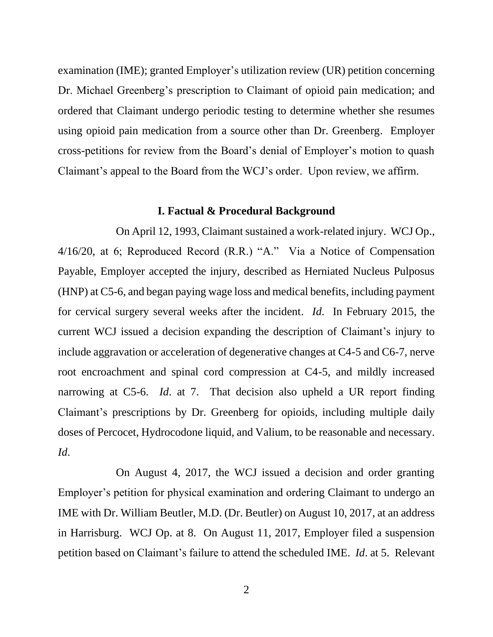examination (IME); granted Employer's utilization review (UR) petition concerning Dr. Michael Greenberg's prescription to Claimant of opioid pain medication; and ordered that Claimant undergo periodic testing to determine whether she resumes using opioid pain medication from a source other than Dr. Greenberg. Employer cross-petitions for review from the Board's denial of Employer's motion to quash Claimant's appeal to the Board from the WCJ's order. Upon review, we affirm.

#### **I. Factual & Procedural Background**

On April 12, 1993, Claimant sustained a work-related injury. WCJ Op., 4/16/20, at 6; Reproduced Record (R.R.) "A." Via a Notice of Compensation Payable, Employer accepted the injury, described as Herniated Nucleus Pulposus (HNP) at C5-6, and began paying wage loss and medical benefits, including payment for cervical surgery several weeks after the incident. *Id*. In February 2015, the current WCJ issued a decision expanding the description of Claimant's injury to include aggravation or acceleration of degenerative changes at C4-5 and C6-7, nerve root encroachment and spinal cord compression at C4-5, and mildly increased narrowing at C5-6. *Id*. at 7. That decision also upheld a UR report finding Claimant's prescriptions by Dr. Greenberg for opioids, including multiple daily doses of Percocet, Hydrocodone liquid, and Valium, to be reasonable and necessary. *Id*.

On August 4, 2017, the WCJ issued a decision and order granting Employer's petition for physical examination and ordering Claimant to undergo an IME with Dr. William Beutler, M.D. (Dr. Beutler) on August 10, 2017, at an address in Harrisburg. WCJ Op. at 8. On August 11, 2017, Employer filed a suspension petition based on Claimant's failure to attend the scheduled IME. *Id*. at 5. Relevant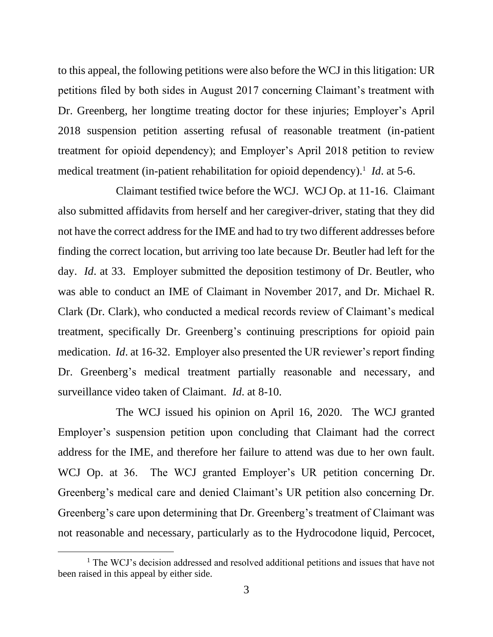to this appeal, the following petitions were also before the WCJ in this litigation: UR petitions filed by both sides in August 2017 concerning Claimant's treatment with Dr. Greenberg, her longtime treating doctor for these injuries; Employer's April 2018 suspension petition asserting refusal of reasonable treatment (in-patient treatment for opioid dependency); and Employer's April 2018 petition to review medical treatment (in-patient rehabilitation for opioid dependency).<sup>1</sup> *Id*. at 5-6.

Claimant testified twice before the WCJ. WCJ Op. at 11-16. Claimant also submitted affidavits from herself and her caregiver-driver, stating that they did not have the correct address for the IME and had to try two different addresses before finding the correct location, but arriving too late because Dr. Beutler had left for the day. *Id*. at 33. Employer submitted the deposition testimony of Dr. Beutler, who was able to conduct an IME of Claimant in November 2017, and Dr. Michael R. Clark (Dr. Clark), who conducted a medical records review of Claimant's medical treatment, specifically Dr. Greenberg's continuing prescriptions for opioid pain medication. *Id*. at 16-32. Employer also presented the UR reviewer's report finding Dr. Greenberg's medical treatment partially reasonable and necessary, and surveillance video taken of Claimant. *Id*. at 8-10.

The WCJ issued his opinion on April 16, 2020. The WCJ granted Employer's suspension petition upon concluding that Claimant had the correct address for the IME, and therefore her failure to attend was due to her own fault. WCJ Op. at 36. The WCJ granted Employer's UR petition concerning Dr. Greenberg's medical care and denied Claimant's UR petition also concerning Dr. Greenberg's care upon determining that Dr. Greenberg's treatment of Claimant was not reasonable and necessary, particularly as to the Hydrocodone liquid, Percocet,

<sup>&</sup>lt;sup>1</sup> The WCJ's decision addressed and resolved additional petitions and issues that have not been raised in this appeal by either side.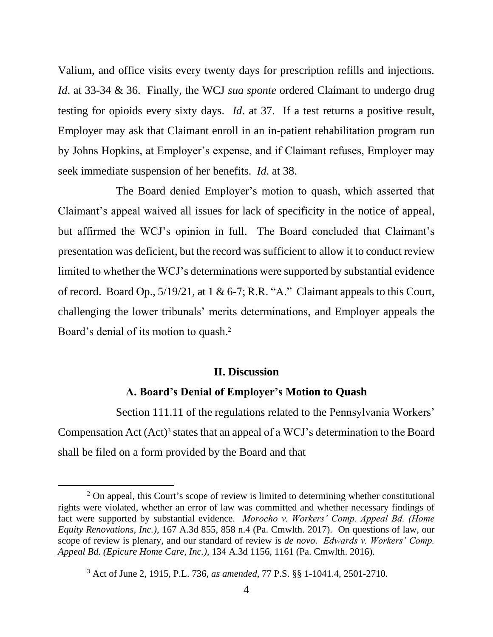Valium, and office visits every twenty days for prescription refills and injections. *Id*. at 33-34 & 36. Finally, the WCJ *sua sponte* ordered Claimant to undergo drug testing for opioids every sixty days. *Id*. at 37. If a test returns a positive result, Employer may ask that Claimant enroll in an in-patient rehabilitation program run by Johns Hopkins, at Employer's expense, and if Claimant refuses, Employer may seek immediate suspension of her benefits. *Id*. at 38.

The Board denied Employer's motion to quash, which asserted that Claimant's appeal waived all issues for lack of specificity in the notice of appeal, but affirmed the WCJ's opinion in full. The Board concluded that Claimant's presentation was deficient, but the record was sufficient to allow it to conduct review limited to whether the WCJ's determinations were supported by substantial evidence of record. Board Op., 5/19/21, at 1 & 6-7; R.R. "A." Claimant appeals to this Court, challenging the lower tribunals' merits determinations, and Employer appeals the Board's denial of its motion to quash.<sup>2</sup>

#### **II. Discussion**

#### **A. Board's Denial of Employer's Motion to Quash**

Section 111.11 of the regulations related to the Pennsylvania Workers' Compensation Act  $(Act)^3$  states that an appeal of a WCJ's determination to the Board shall be filed on a form provided by the Board and that

 $2$  On appeal, this Court's scope of review is limited to determining whether constitutional rights were violated, whether an error of law was committed and whether necessary findings of fact were supported by substantial evidence. *Morocho v. Workers' Comp. Appeal Bd. (Home Equity Renovations, Inc.)*, 167 A.3d 855, 858 n.4 (Pa. Cmwlth. 2017). On questions of law, our scope of review is plenary, and our standard of review is *de novo*. *Edwards v. Workers' Comp. Appeal Bd. (Epicure Home Care, Inc.)*, 134 A.3d 1156, 1161 (Pa. Cmwlth. 2016).

<sup>3</sup> Act of June 2, 1915, P.L. 736, *as amended*, 77 P.S. §§ 1-1041.4, 2501-2710.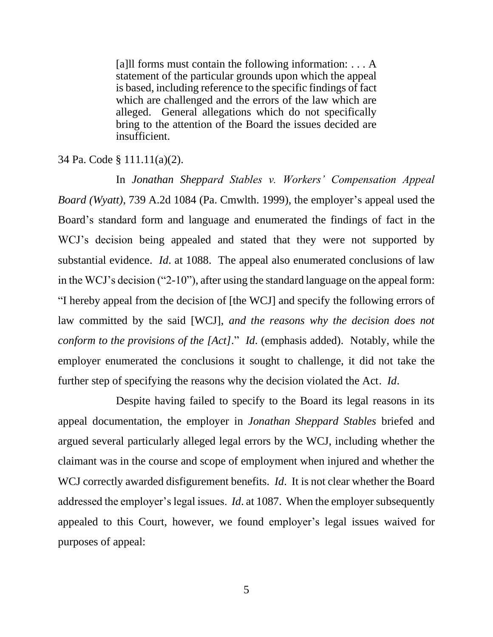[a]ll forms must contain the following information: . . . A statement of the particular grounds upon which the appeal is based, including reference to the specific findings of fact which are challenged and the errors of the law which are alleged. General allegations which do not specifically bring to the attention of the Board the issues decided are insufficient.

34 Pa. Code § 111.11(a)(2).

In *Jonathan Sheppard Stables v. Workers' Compensation Appeal Board (Wyatt)*, 739 A.2d 1084 (Pa. Cmwlth. 1999), the employer's appeal used the Board's standard form and language and enumerated the findings of fact in the WCJ's decision being appealed and stated that they were not supported by substantial evidence. *Id*. at 1088. The appeal also enumerated conclusions of law in the WCJ's decision ("2-10"), after using the standard language on the appeal form: "I hereby appeal from the decision of [the WCJ] and specify the following errors of law committed by the said [WCJ], *and the reasons why the decision does not conform to the provisions of the [Act]*." *Id*. (emphasis added). Notably, while the employer enumerated the conclusions it sought to challenge, it did not take the further step of specifying the reasons why the decision violated the Act. *Id*.

Despite having failed to specify to the Board its legal reasons in its appeal documentation, the employer in *Jonathan Sheppard Stables* briefed and argued several particularly alleged legal errors by the WCJ, including whether the claimant was in the course and scope of employment when injured and whether the WCJ correctly awarded disfigurement benefits. *Id*. It is not clear whether the Board addressed the employer's legal issues. *Id*. at 1087. When the employer subsequently appealed to this Court, however, we found employer's legal issues waived for purposes of appeal: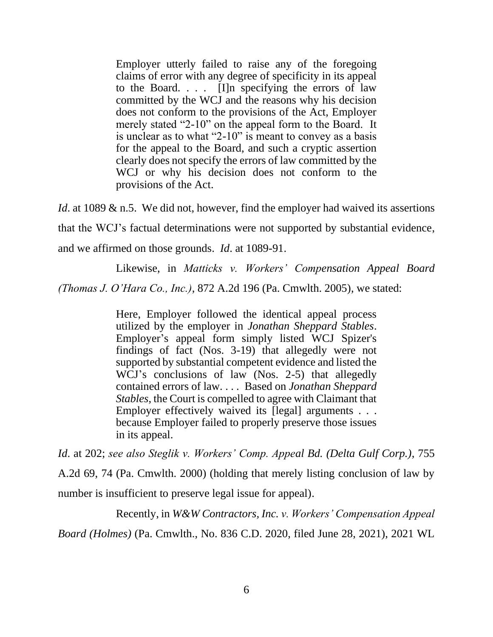Employer utterly failed to raise any of the foregoing claims of error with any degree of specificity in its appeal to the Board. . . . [I]n specifying the errors of law committed by the WCJ and the reasons why his decision does not conform to the provisions of the Act, Employer merely stated "2-10" on the appeal form to the Board. It is unclear as to what "2-10" is meant to convey as a basis for the appeal to the Board, and such a cryptic assertion clearly does not specify the errors of law committed by the WCJ or why his decision does not conform to the provisions of the Act.

*Id*. at 1089 & n.5. We did not, however, find the employer had waived its assertions that the WCJ's factual determinations were not supported by substantial evidence, and we affirmed on those grounds. *Id*. at 1089-91.

Likewise, in *Matticks v. Workers' Compensation Appeal Board*

*(Thomas J. O'Hara Co., Inc.)*, 872 A.2d 196 (Pa. Cmwlth. 2005), we stated:

Here, Employer followed the identical appeal process utilized by the employer in *Jonathan Sheppard Stables*. Employer's appeal form simply listed WCJ Spizer's findings of fact (Nos. 3-19) that allegedly were not supported by substantial competent evidence and listed the WCJ's conclusions of law (Nos. 2-5) that allegedly contained errors of law. . . . Based on *Jonathan Sheppard Stables*, the Court is compelled to agree with Claimant that Employer effectively waived its [legal] arguments . . . because Employer failed to properly preserve those issues in its appeal.

*Id*. at 202; *see also Steglik v. Workers' Comp. Appeal Bd. (Delta Gulf Corp.)*, 755 A.2d 69, 74 (Pa. Cmwlth. 2000) (holding that merely listing conclusion of law by number is insufficient to preserve legal issue for appeal).

Recently, in *W&W Contractors, Inc. v. Workers' Compensation Appeal Board (Holmes)* (Pa. Cmwlth., No. 836 C.D. 2020, filed June 28, 2021), 2021 WL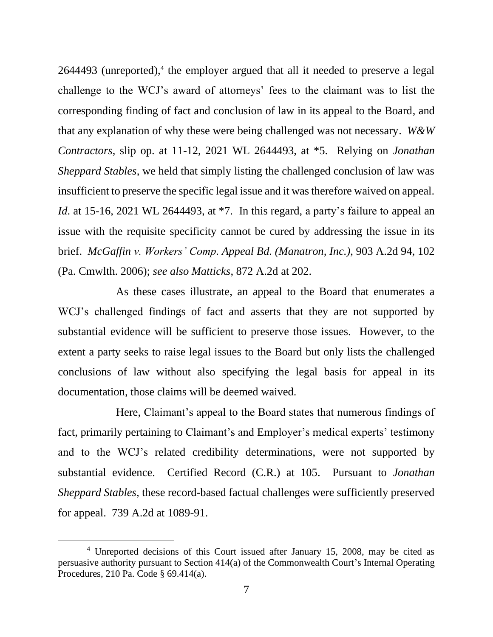2644493 (unreported), 4 the employer argued that all it needed to preserve a legal challenge to the WCJ's award of attorneys' fees to the claimant was to list the corresponding finding of fact and conclusion of law in its appeal to the Board, and that any explanation of why these were being challenged was not necessary. *W&W Contractors*, slip op. at 11-12, 2021 WL 2644493, at \*5. Relying on *Jonathan Sheppard Stables*, we held that simply listing the challenged conclusion of law was insufficient to preserve the specific legal issue and it was therefore waived on appeal. *Id*. at 15-16, 2021 WL 2644493, at  $*7$ . In this regard, a party's failure to appeal an issue with the requisite specificity cannot be cured by addressing the issue in its brief. *McGaffin v. Workers' Comp. Appeal Bd. (Manatron, Inc.)*, 903 A.2d 94, 102 (Pa. Cmwlth. 2006); *see also Matticks*, 872 A.2d at 202.

As these cases illustrate, an appeal to the Board that enumerates a WCJ's challenged findings of fact and asserts that they are not supported by substantial evidence will be sufficient to preserve those issues. However, to the extent a party seeks to raise legal issues to the Board but only lists the challenged conclusions of law without also specifying the legal basis for appeal in its documentation, those claims will be deemed waived.

Here, Claimant's appeal to the Board states that numerous findings of fact, primarily pertaining to Claimant's and Employer's medical experts' testimony and to the WCJ's related credibility determinations, were not supported by substantial evidence. Certified Record (C.R.) at 105. Pursuant to *Jonathan Sheppard Stables*, these record-based factual challenges were sufficiently preserved for appeal. 739 A.2d at 1089-91.

<sup>4</sup> Unreported decisions of this Court issued after January 15, 2008, may be cited as persuasive authority pursuant to Section 414(a) of the Commonwealth Court's Internal Operating Procedures, 210 Pa. Code § 69.414(a).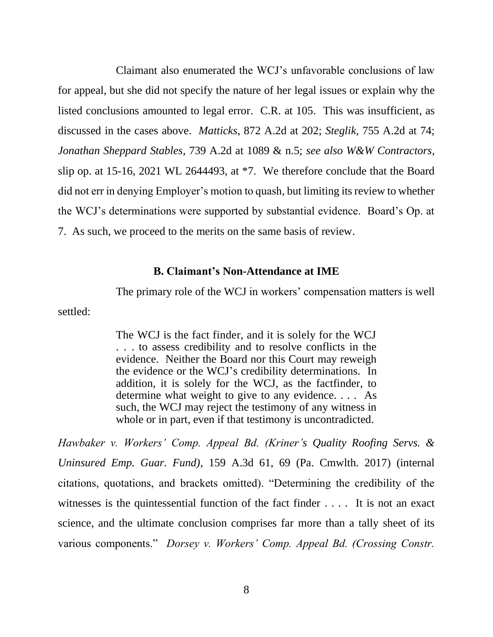Claimant also enumerated the WCJ's unfavorable conclusions of law for appeal, but she did not specify the nature of her legal issues or explain why the listed conclusions amounted to legal error. C.R. at 105. This was insufficient, as discussed in the cases above. *Matticks*, 872 A.2d at 202; *Steglik*, 755 A.2d at 74; *Jonathan Sheppard Stables*, 739 A.2d at 1089 & n.5; *see also W&W Contractors*, slip op. at 15-16, 2021 WL 2644493, at \*7. We therefore conclude that the Board did not err in denying Employer's motion to quash, but limiting its review to whether the WCJ's determinations were supported by substantial evidence. Board's Op. at 7. As such, we proceed to the merits on the same basis of review.

### **B. Claimant's Non-Attendance at IME**

The primary role of the WCJ in workers' compensation matters is well

settled:

The WCJ is the fact finder, and it is solely for the WCJ . . . to assess credibility and to resolve conflicts in the evidence. Neither the Board nor this Court may reweigh the evidence or the WCJ's credibility determinations. In addition, it is solely for the WCJ, as the factfinder, to determine what weight to give to any evidence. . . . As such, the WCJ may reject the testimony of any witness in whole or in part, even if that testimony is uncontradicted.

*Hawbaker v. Workers' Comp. Appeal Bd. (Kriner's Quality Roofing Servs. & Uninsured Emp. Guar. Fund)*, 159 A.3d 61, 69 (Pa. Cmwlth. 2017) (internal citations, quotations, and brackets omitted). "Determining the credibility of the witnesses is the quintessential function of the fact finder .... It is not an exact science, and the ultimate conclusion comprises far more than a tally sheet of its various components." *Dorsey v. Workers' Comp. Appeal Bd. (Crossing Constr.*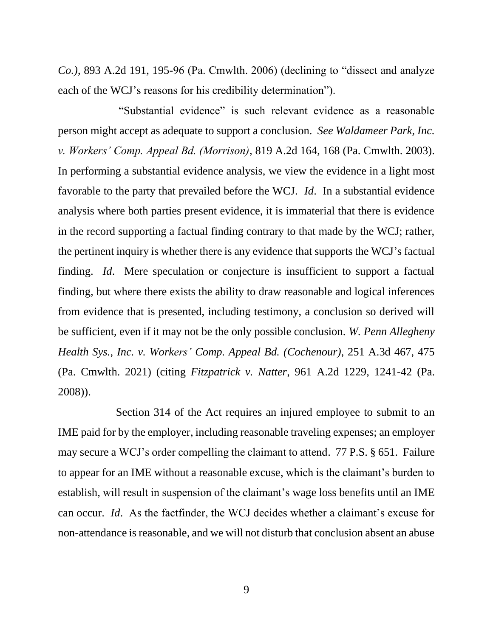*Co.)*, 893 A.2d 191, 195-96 (Pa. Cmwlth. 2006) (declining to "dissect and analyze each of the WCJ's reasons for his credibility determination").

"Substantial evidence" is such relevant evidence as a reasonable person might accept as adequate to support a conclusion. *See Waldameer Park, Inc. v. Workers' Comp. Appeal Bd. (Morrison)*, 819 A.2d 164, 168 (Pa. Cmwlth. 2003). In performing a substantial evidence analysis, we view the evidence in a light most favorable to the party that prevailed before the WCJ. *Id*. In a substantial evidence analysis where both parties present evidence, it is immaterial that there is evidence in the record supporting a factual finding contrary to that made by the WCJ; rather, the pertinent inquiry is whether there is any evidence that supports the WCJ's factual finding. *Id*. Mere speculation or conjecture is insufficient to support a factual finding, but where there exists the ability to draw reasonable and logical inferences from evidence that is presented, including testimony, a conclusion so derived will be sufficient, even if it may not be the only possible conclusion. *W. Penn Allegheny Health Sys., Inc. v. Workers' Comp. Appeal Bd. (Cochenour)*, 251 A.3d 467, 475 (Pa. Cmwlth. 2021) (citing *Fitzpatrick v. Natter*, 961 A.2d 1229, 1241-42 (Pa. 2008)).

Section 314 of the Act requires an injured employee to submit to an IME paid for by the employer, including reasonable traveling expenses; an employer may secure a WCJ's order compelling the claimant to attend. 77 P.S. § 651. Failure to appear for an IME without a reasonable excuse, which is the claimant's burden to establish, will result in suspension of the claimant's wage loss benefits until an IME can occur. *Id*. As the factfinder, the WCJ decides whether a claimant's excuse for non-attendance is reasonable, and we will not disturb that conclusion absent an abuse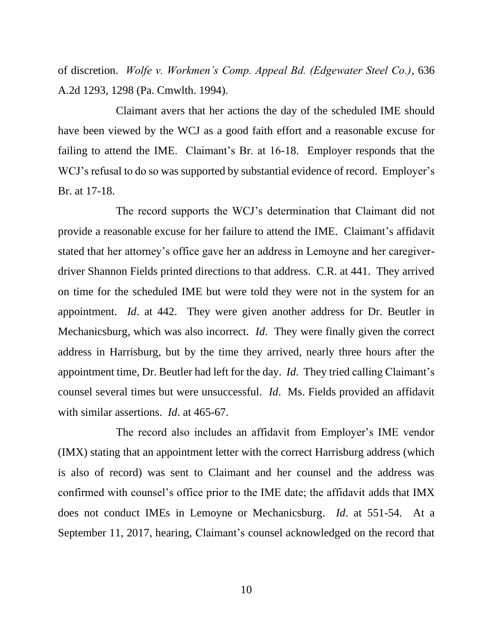of discretion. *Wolfe v. Workmen's Comp. Appeal Bd. (Edgewater Steel Co.)*, 636 A.2d 1293, 1298 (Pa. Cmwlth. 1994).

Claimant avers that her actions the day of the scheduled IME should have been viewed by the WCJ as a good faith effort and a reasonable excuse for failing to attend the IME. Claimant's Br. at 16-18. Employer responds that the WCJ's refusal to do so was supported by substantial evidence of record. Employer's Br. at 17-18.

The record supports the WCJ's determination that Claimant did not provide a reasonable excuse for her failure to attend the IME. Claimant's affidavit stated that her attorney's office gave her an address in Lemoyne and her caregiverdriver Shannon Fields printed directions to that address. C.R. at 441. They arrived on time for the scheduled IME but were told they were not in the system for an appointment. *Id*. at 442. They were given another address for Dr. Beutler in Mechanicsburg, which was also incorrect. *Id*. They were finally given the correct address in Harrisburg, but by the time they arrived, nearly three hours after the appointment time, Dr. Beutler had left for the day. *Id*. They tried calling Claimant's counsel several times but were unsuccessful. *Id*. Ms. Fields provided an affidavit with similar assertions. *Id*. at 465-67.

The record also includes an affidavit from Employer's IME vendor (IMX) stating that an appointment letter with the correct Harrisburg address (which is also of record) was sent to Claimant and her counsel and the address was confirmed with counsel's office prior to the IME date; the affidavit adds that IMX does not conduct IMEs in Lemoyne or Mechanicsburg. *Id*. at 551-54. At a September 11, 2017, hearing, Claimant's counsel acknowledged on the record that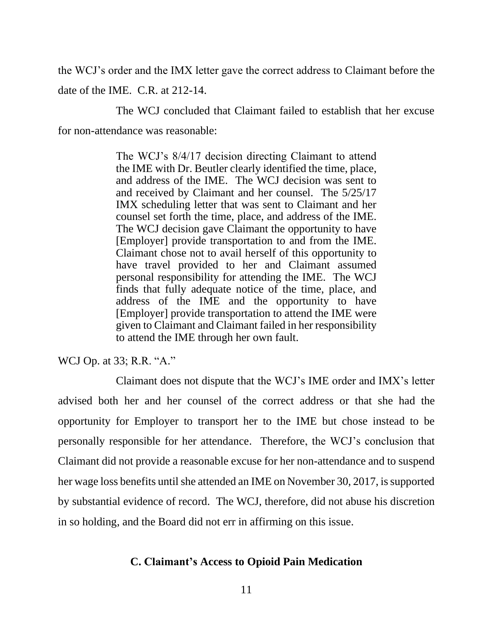the WCJ's order and the IMX letter gave the correct address to Claimant before the date of the IME. C.R. at 212-14.

The WCJ concluded that Claimant failed to establish that her excuse for non-attendance was reasonable:

> The WCJ's 8/4/17 decision directing Claimant to attend the IME with Dr. Beutler clearly identified the time, place, and address of the IME. The WCJ decision was sent to and received by Claimant and her counsel. The 5/25/17 IMX scheduling letter that was sent to Claimant and her counsel set forth the time, place, and address of the IME. The WCJ decision gave Claimant the opportunity to have [Employer] provide transportation to and from the IME. Claimant chose not to avail herself of this opportunity to have travel provided to her and Claimant assumed personal responsibility for attending the IME. The WCJ finds that fully adequate notice of the time, place, and address of the IME and the opportunity to have [Employer] provide transportation to attend the IME were given to Claimant and Claimant failed in her responsibility to attend the IME through her own fault.

WCJ Op. at 33; R.R. "A."

Claimant does not dispute that the WCJ's IME order and IMX's letter advised both her and her counsel of the correct address or that she had the opportunity for Employer to transport her to the IME but chose instead to be personally responsible for her attendance. Therefore, the WCJ's conclusion that Claimant did not provide a reasonable excuse for her non-attendance and to suspend her wage loss benefits until she attended an IME on November 30, 2017, is supported by substantial evidence of record. The WCJ, therefore, did not abuse his discretion in so holding, and the Board did not err in affirming on this issue.

## **C. Claimant's Access to Opioid Pain Medication**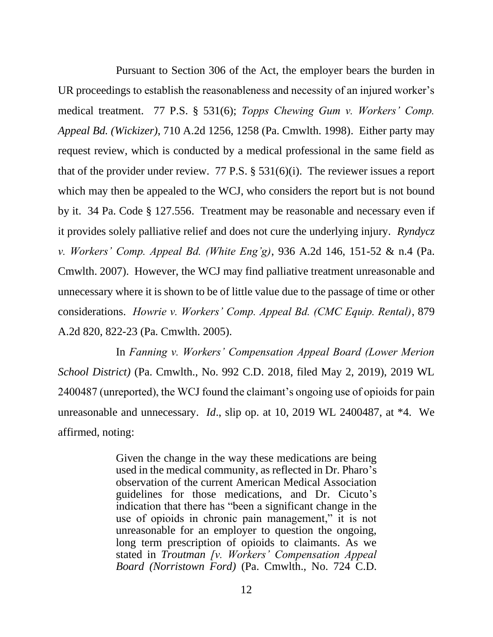Pursuant to Section 306 of the Act, the employer bears the burden in UR proceedings to establish the reasonableness and necessity of an injured worker's medical treatment. 77 P.S. § 531(6); *Topps Chewing Gum v. Workers' Comp. Appeal Bd. (Wickizer)*, 710 A.2d 1256, 1258 (Pa. Cmwlth. 1998). Either party may request review, which is conducted by a medical professional in the same field as that of the provider under review. 77 P.S. § 531(6)(i). The reviewer issues a report which may then be appealed to the WCJ, who considers the report but is not bound by it. 34 Pa. Code § 127.556. Treatment may be reasonable and necessary even if it provides solely palliative relief and does not cure the underlying injury. *Ryndycz v. Workers' Comp. Appeal Bd. (White Eng'g)*, 936 A.2d 146, 151-52 & n.4 (Pa. Cmwlth. 2007). However, the WCJ may find palliative treatment unreasonable and unnecessary where it is shown to be of little value due to the passage of time or other considerations. *Howrie v. Workers' Comp. Appeal Bd. (CMC Equip. Rental)*, 879 A.2d 820, 822-23 (Pa. Cmwlth. 2005).

In *Fanning v. Workers' Compensation Appeal Board (Lower Merion School District)* (Pa. Cmwlth., No. 992 C.D. 2018, filed May 2, 2019), 2019 WL 2400487 (unreported), the WCJ found the claimant's ongoing use of opioids for pain unreasonable and unnecessary. *Id*., slip op. at 10, 2019 WL 2400487, at \*4. We affirmed, noting:

> Given the change in the way these medications are being used in the medical community, as reflected in Dr. Pharo's observation of the current American Medical Association guidelines for those medications, and Dr. Cicuto's indication that there has "been a significant change in the use of opioids in chronic pain management," it is not unreasonable for an employer to question the ongoing, long term prescription of opioids to claimants. As we stated in *Troutman [v. Workers' Compensation Appeal Board (Norristown Ford)* (Pa. Cmwlth., No. 724 C.D.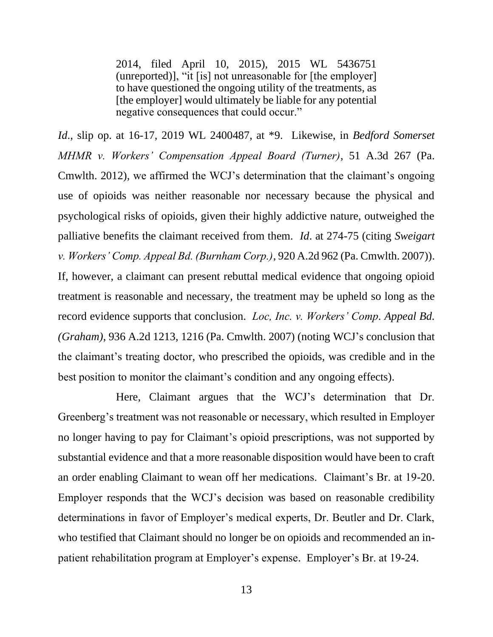2014, filed April 10, 2015), 2015 WL 5436751 (unreported)], "it [is] not unreasonable for [the employer] to have questioned the ongoing utility of the treatments, as [the employer] would ultimately be liable for any potential negative consequences that could occur."

*Id*., slip op. at 16-17, 2019 WL 2400487, at \*9. Likewise, in *Bedford Somerset MHMR v. Workers' Compensation Appeal Board (Turner)*, 51 A.3d 267 (Pa. Cmwlth. 2012), we affirmed the WCJ's determination that the claimant's ongoing use of opioids was neither reasonable nor necessary because the physical and psychological risks of opioids, given their highly addictive nature, outweighed the palliative benefits the claimant received from them. *Id*. at 274-75 (citing *Sweigart v. Workers' Comp. Appeal Bd. (Burnham Corp.)*, 920 A.2d 962 (Pa. Cmwlth. 2007)). If, however, a claimant can present rebuttal medical evidence that ongoing opioid treatment is reasonable and necessary, the treatment may be upheld so long as the record evidence supports that conclusion. *Loc, Inc. v. Workers' Comp. Appeal Bd. (Graham)*, 936 A.2d 1213, 1216 (Pa. Cmwlth. 2007) (noting WCJ's conclusion that the claimant's treating doctor, who prescribed the opioids, was credible and in the best position to monitor the claimant's condition and any ongoing effects).

Here, Claimant argues that the WCJ's determination that Dr. Greenberg's treatment was not reasonable or necessary, which resulted in Employer no longer having to pay for Claimant's opioid prescriptions, was not supported by substantial evidence and that a more reasonable disposition would have been to craft an order enabling Claimant to wean off her medications. Claimant's Br. at 19-20. Employer responds that the WCJ's decision was based on reasonable credibility determinations in favor of Employer's medical experts, Dr. Beutler and Dr. Clark, who testified that Claimant should no longer be on opioids and recommended an inpatient rehabilitation program at Employer's expense. Employer's Br. at 19-24.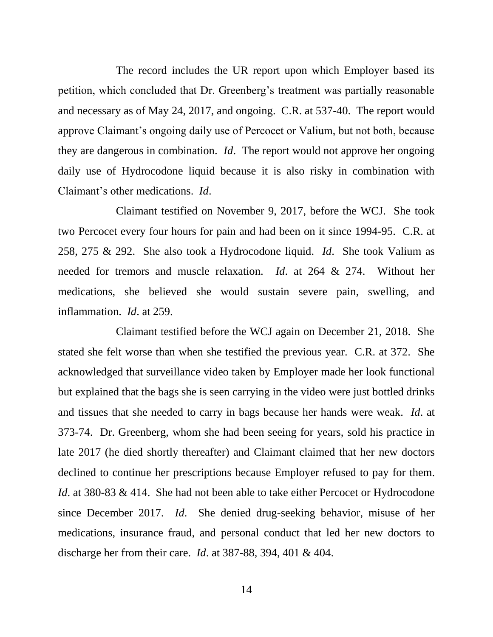The record includes the UR report upon which Employer based its petition, which concluded that Dr. Greenberg's treatment was partially reasonable and necessary as of May 24, 2017, and ongoing. C.R. at 537-40. The report would approve Claimant's ongoing daily use of Percocet or Valium, but not both, because they are dangerous in combination. *Id*. The report would not approve her ongoing daily use of Hydrocodone liquid because it is also risky in combination with Claimant's other medications. *Id*.

Claimant testified on November 9, 2017, before the WCJ. She took two Percocet every four hours for pain and had been on it since 1994-95. C.R. at 258, 275 & 292. She also took a Hydrocodone liquid. *Id*. She took Valium as needed for tremors and muscle relaxation. *Id*. at 264 & 274. Without her medications, she believed she would sustain severe pain, swelling, and inflammation. *Id*. at 259.

Claimant testified before the WCJ again on December 21, 2018. She stated she felt worse than when she testified the previous year. C.R. at 372. She acknowledged that surveillance video taken by Employer made her look functional but explained that the bags she is seen carrying in the video were just bottled drinks and tissues that she needed to carry in bags because her hands were weak. *Id*. at 373-74. Dr. Greenberg, whom she had been seeing for years, sold his practice in late 2017 (he died shortly thereafter) and Claimant claimed that her new doctors declined to continue her prescriptions because Employer refused to pay for them. *Id*. at 380-83 & 414. She had not been able to take either Percocet or Hydrocodone since December 2017. *Id*. She denied drug-seeking behavior, misuse of her medications, insurance fraud, and personal conduct that led her new doctors to discharge her from their care. *Id*. at 387-88, 394, 401 & 404.

14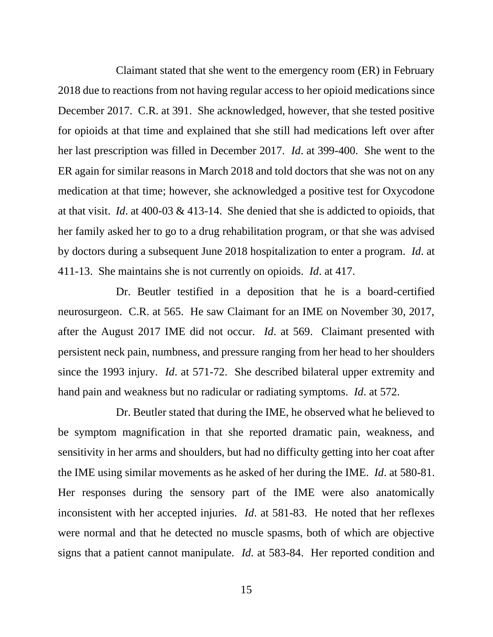Claimant stated that she went to the emergency room (ER) in February 2018 due to reactions from not having regular access to her opioid medications since December 2017. C.R. at 391. She acknowledged, however, that she tested positive for opioids at that time and explained that she still had medications left over after her last prescription was filled in December 2017. *Id*. at 399-400. She went to the ER again for similar reasons in March 2018 and told doctors that she was not on any medication at that time; however, she acknowledged a positive test for Oxycodone at that visit. *Id*. at 400-03 & 413-14. She denied that she is addicted to opioids, that her family asked her to go to a drug rehabilitation program, or that she was advised by doctors during a subsequent June 2018 hospitalization to enter a program. *Id*. at 411-13. She maintains she is not currently on opioids. *Id*. at 417.

Dr. Beutler testified in a deposition that he is a board-certified neurosurgeon. C.R. at 565. He saw Claimant for an IME on November 30, 2017, after the August 2017 IME did not occur. *Id*. at 569. Claimant presented with persistent neck pain, numbness, and pressure ranging from her head to her shoulders since the 1993 injury. *Id*. at 571-72. She described bilateral upper extremity and hand pain and weakness but no radicular or radiating symptoms. *Id*. at 572.

Dr. Beutler stated that during the IME, he observed what he believed to be symptom magnification in that she reported dramatic pain, weakness, and sensitivity in her arms and shoulders, but had no difficulty getting into her coat after the IME using similar movements as he asked of her during the IME. *Id*. at 580-81. Her responses during the sensory part of the IME were also anatomically inconsistent with her accepted injuries. *Id*. at 581-83. He noted that her reflexes were normal and that he detected no muscle spasms, both of which are objective signs that a patient cannot manipulate. *Id*. at 583-84. Her reported condition and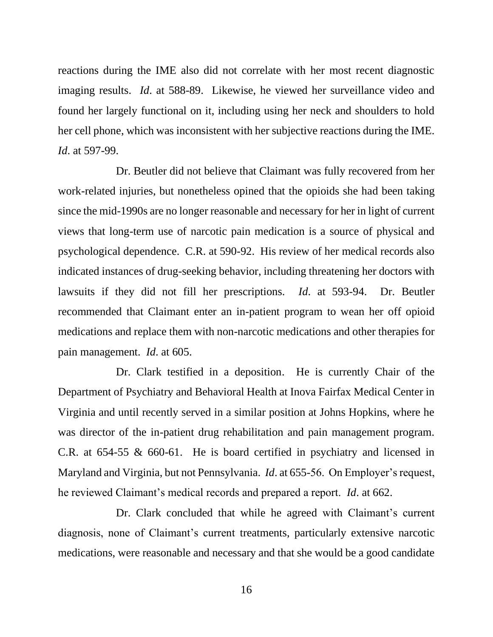reactions during the IME also did not correlate with her most recent diagnostic imaging results. *Id*. at 588-89. Likewise, he viewed her surveillance video and found her largely functional on it, including using her neck and shoulders to hold her cell phone, which was inconsistent with her subjective reactions during the IME. *Id*. at 597-99.

Dr. Beutler did not believe that Claimant was fully recovered from her work-related injuries, but nonetheless opined that the opioids she had been taking since the mid-1990s are no longer reasonable and necessary for her in light of current views that long-term use of narcotic pain medication is a source of physical and psychological dependence. C.R. at 590-92. His review of her medical records also indicated instances of drug-seeking behavior, including threatening her doctors with lawsuits if they did not fill her prescriptions. *Id*. at 593-94. Dr. Beutler recommended that Claimant enter an in-patient program to wean her off opioid medications and replace them with non-narcotic medications and other therapies for pain management. *Id*. at 605.

Dr. Clark testified in a deposition. He is currently Chair of the Department of Psychiatry and Behavioral Health at Inova Fairfax Medical Center in Virginia and until recently served in a similar position at Johns Hopkins, where he was director of the in-patient drug rehabilitation and pain management program. C.R. at 654-55 & 660-61. He is board certified in psychiatry and licensed in Maryland and Virginia, but not Pennsylvania. *Id*. at 655-56. On Employer's request, he reviewed Claimant's medical records and prepared a report. *Id*. at 662.

Dr. Clark concluded that while he agreed with Claimant's current diagnosis, none of Claimant's current treatments, particularly extensive narcotic medications, were reasonable and necessary and that she would be a good candidate

16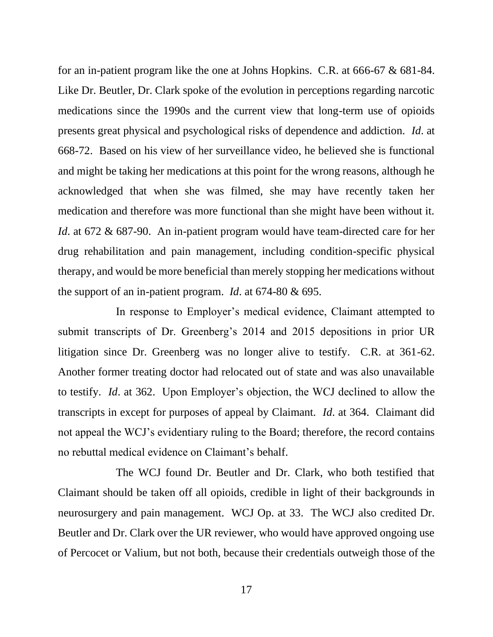for an in-patient program like the one at Johns Hopkins. C.R. at 666-67 & 681-84. Like Dr. Beutler, Dr. Clark spoke of the evolution in perceptions regarding narcotic medications since the 1990s and the current view that long-term use of opioids presents great physical and psychological risks of dependence and addiction. *Id*. at 668-72. Based on his view of her surveillance video, he believed she is functional and might be taking her medications at this point for the wrong reasons, although he acknowledged that when she was filmed, she may have recently taken her medication and therefore was more functional than she might have been without it. *Id*. at 672 & 687-90. An in-patient program would have team-directed care for her drug rehabilitation and pain management, including condition-specific physical therapy, and would be more beneficial than merely stopping her medications without the support of an in-patient program. *Id*. at 674-80 & 695.

In response to Employer's medical evidence, Claimant attempted to submit transcripts of Dr. Greenberg's 2014 and 2015 depositions in prior UR litigation since Dr. Greenberg was no longer alive to testify. C.R. at 361-62. Another former treating doctor had relocated out of state and was also unavailable to testify. *Id*. at 362. Upon Employer's objection, the WCJ declined to allow the transcripts in except for purposes of appeal by Claimant. *Id*. at 364. Claimant did not appeal the WCJ's evidentiary ruling to the Board; therefore, the record contains no rebuttal medical evidence on Claimant's behalf.

The WCJ found Dr. Beutler and Dr. Clark, who both testified that Claimant should be taken off all opioids, credible in light of their backgrounds in neurosurgery and pain management. WCJ Op. at 33. The WCJ also credited Dr. Beutler and Dr. Clark over the UR reviewer, who would have approved ongoing use of Percocet or Valium, but not both, because their credentials outweigh those of the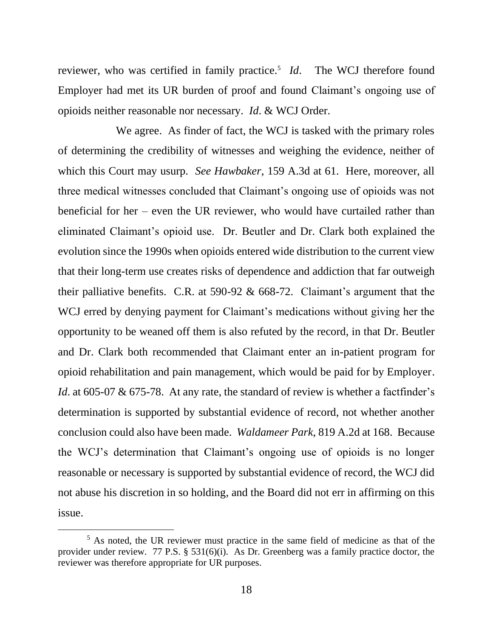reviewer, who was certified in family practice.<sup>5</sup> *Id*. The WCJ therefore found Employer had met its UR burden of proof and found Claimant's ongoing use of opioids neither reasonable nor necessary. *Id*. & WCJ Order.

We agree. As finder of fact, the WCJ is tasked with the primary roles of determining the credibility of witnesses and weighing the evidence, neither of which this Court may usurp. *See Hawbaker*, 159 A.3d at 61. Here, moreover, all three medical witnesses concluded that Claimant's ongoing use of opioids was not beneficial for her – even the UR reviewer, who would have curtailed rather than eliminated Claimant's opioid use. Dr. Beutler and Dr. Clark both explained the evolution since the 1990s when opioids entered wide distribution to the current view that their long-term use creates risks of dependence and addiction that far outweigh their palliative benefits. C.R. at 590-92 & 668-72. Claimant's argument that the WCJ erred by denying payment for Claimant's medications without giving her the opportunity to be weaned off them is also refuted by the record, in that Dr. Beutler and Dr. Clark both recommended that Claimant enter an in-patient program for opioid rehabilitation and pain management, which would be paid for by Employer. *Id*. at 605-07 & 675-78. At any rate, the standard of review is whether a factfinder's determination is supported by substantial evidence of record, not whether another conclusion could also have been made. *Waldameer Park*, 819 A.2d at 168. Because the WCJ's determination that Claimant's ongoing use of opioids is no longer reasonable or necessary is supported by substantial evidence of record, the WCJ did not abuse his discretion in so holding, and the Board did not err in affirming on this issue.

<sup>&</sup>lt;sup>5</sup> As noted, the UR reviewer must practice in the same field of medicine as that of the provider under review. 77 P.S. § 531(6)(i). As Dr. Greenberg was a family practice doctor, the reviewer was therefore appropriate for UR purposes.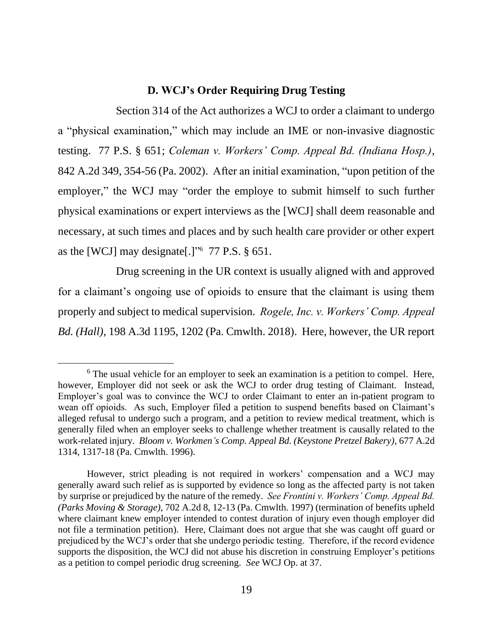#### **D. WCJ's Order Requiring Drug Testing**

Section 314 of the Act authorizes a WCJ to order a claimant to undergo a "physical examination," which may include an IME or non-invasive diagnostic testing. 77 P.S. § 651; *Coleman v. Workers' Comp. Appeal Bd. (Indiana Hosp.)*, 842 A.2d 349, 354-56 (Pa. 2002). After an initial examination, "upon petition of the employer," the WCJ may "order the employe to submit himself to such further physical examinations or expert interviews as the [WCJ] shall deem reasonable and necessary, at such times and places and by such health care provider or other expert as the [WCJ] may designate[.]"<sup>6</sup> 77 P.S.  $\S$  651.

Drug screening in the UR context is usually aligned with and approved for a claimant's ongoing use of opioids to ensure that the claimant is using them properly and subject to medical supervision. *Rogele, Inc. v. Workers' Comp. Appeal Bd. (Hall)*, 198 A.3d 1195, 1202 (Pa. Cmwlth. 2018). Here, however, the UR report

<sup>&</sup>lt;sup>6</sup> The usual vehicle for an employer to seek an examination is a petition to compel. Here, however, Employer did not seek or ask the WCJ to order drug testing of Claimant. Instead, Employer's goal was to convince the WCJ to order Claimant to enter an in-patient program to wean off opioids. As such, Employer filed a petition to suspend benefits based on Claimant's alleged refusal to undergo such a program, and a petition to review medical treatment, which is generally filed when an employer seeks to challenge whether treatment is causally related to the work-related injury. *Bloom v. Workmen's Comp. Appeal Bd. (Keystone Pretzel Bakery)*, 677 A.2d 1314, 1317-18 (Pa. Cmwlth. 1996).

However, strict pleading is not required in workers' compensation and a WCJ may generally award such relief as is supported by evidence so long as the affected party is not taken by surprise or prejudiced by the nature of the remedy. *See Frontini v. Workers' Comp. Appeal Bd. (Parks Moving & Storage)*, 702 A.2d 8, 12-13 (Pa. Cmwlth. 1997) (termination of benefits upheld where claimant knew employer intended to contest duration of injury even though employer did not file a termination petition). Here, Claimant does not argue that she was caught off guard or prejudiced by the WCJ's order that she undergo periodic testing. Therefore, if the record evidence supports the disposition, the WCJ did not abuse his discretion in construing Employer's petitions as a petition to compel periodic drug screening. *See* WCJ Op. at 37.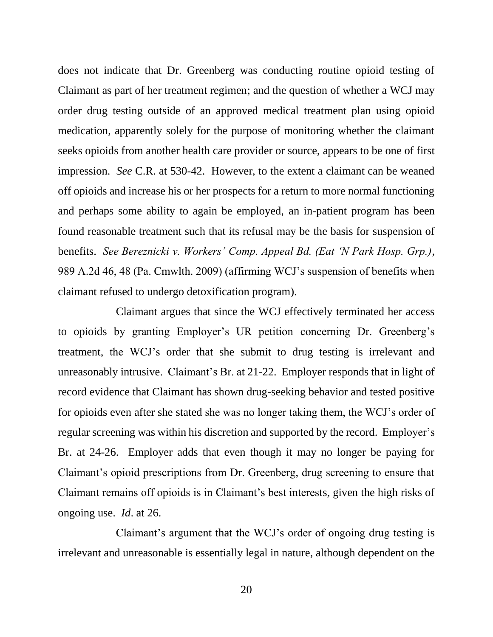does not indicate that Dr. Greenberg was conducting routine opioid testing of Claimant as part of her treatment regimen; and the question of whether a WCJ may order drug testing outside of an approved medical treatment plan using opioid medication, apparently solely for the purpose of monitoring whether the claimant seeks opioids from another health care provider or source, appears to be one of first impression. *See* C.R. at 530-42. However, to the extent a claimant can be weaned off opioids and increase his or her prospects for a return to more normal functioning and perhaps some ability to again be employed, an in-patient program has been found reasonable treatment such that its refusal may be the basis for suspension of benefits. *See Bereznicki v. Workers' Comp. Appeal Bd. (Eat 'N Park Hosp. Grp.)*, 989 A.2d 46, 48 (Pa. Cmwlth. 2009) (affirming WCJ's suspension of benefits when claimant refused to undergo detoxification program).

Claimant argues that since the WCJ effectively terminated her access to opioids by granting Employer's UR petition concerning Dr. Greenberg's treatment, the WCJ's order that she submit to drug testing is irrelevant and unreasonably intrusive. Claimant's Br. at 21-22. Employer responds that in light of record evidence that Claimant has shown drug-seeking behavior and tested positive for opioids even after she stated she was no longer taking them, the WCJ's order of regular screening was within his discretion and supported by the record. Employer's Br. at 24-26. Employer adds that even though it may no longer be paying for Claimant's opioid prescriptions from Dr. Greenberg, drug screening to ensure that Claimant remains off opioids is in Claimant's best interests, given the high risks of ongoing use. *Id*. at 26.

Claimant's argument that the WCJ's order of ongoing drug testing is irrelevant and unreasonable is essentially legal in nature, although dependent on the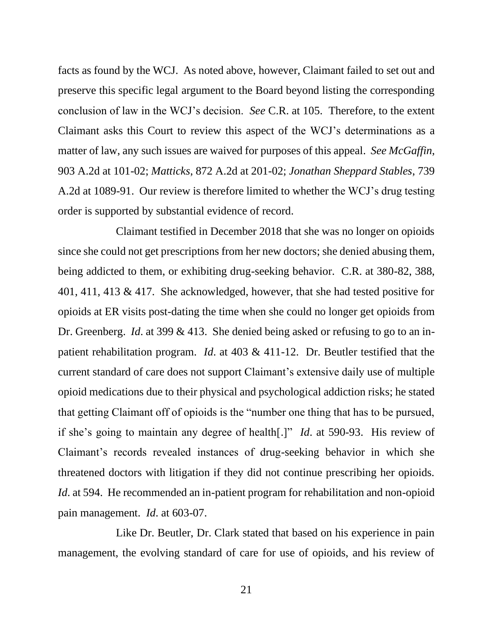facts as found by the WCJ. As noted above, however, Claimant failed to set out and preserve this specific legal argument to the Board beyond listing the corresponding conclusion of law in the WCJ's decision. *See* C.R. at 105. Therefore, to the extent Claimant asks this Court to review this aspect of the WCJ's determinations as a matter of law, any such issues are waived for purposes of this appeal. *See McGaffin*, 903 A.2d at 101-02; *Matticks*, 872 A.2d at 201-02; *Jonathan Sheppard Stables*, 739 A.2d at 1089-91. Our review is therefore limited to whether the WCJ's drug testing order is supported by substantial evidence of record.

Claimant testified in December 2018 that she was no longer on opioids since she could not get prescriptions from her new doctors; she denied abusing them, being addicted to them, or exhibiting drug-seeking behavior. C.R. at 380-82, 388, 401, 411, 413 & 417. She acknowledged, however, that she had tested positive for opioids at ER visits post-dating the time when she could no longer get opioids from Dr. Greenberg. *Id*. at 399 & 413. She denied being asked or refusing to go to an inpatient rehabilitation program. *Id*. at 403 & 411-12. Dr. Beutler testified that the current standard of care does not support Claimant's extensive daily use of multiple opioid medications due to their physical and psychological addiction risks; he stated that getting Claimant off of opioids is the "number one thing that has to be pursued, if she's going to maintain any degree of health[.]" *Id*. at 590-93. His review of Claimant's records revealed instances of drug-seeking behavior in which she threatened doctors with litigation if they did not continue prescribing her opioids. *Id.* at 594. He recommended an in-patient program for rehabilitation and non-opioid pain management. *Id*. at 603-07.

Like Dr. Beutler, Dr. Clark stated that based on his experience in pain management, the evolving standard of care for use of opioids, and his review of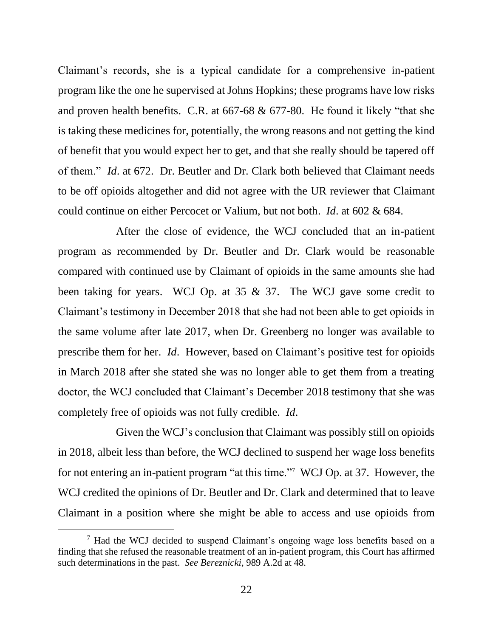Claimant's records, she is a typical candidate for a comprehensive in-patient program like the one he supervised at Johns Hopkins; these programs have low risks and proven health benefits. C.R. at 667-68 & 677-80. He found it likely "that she is taking these medicines for, potentially, the wrong reasons and not getting the kind of benefit that you would expect her to get, and that she really should be tapered off of them." *Id*. at 672. Dr. Beutler and Dr. Clark both believed that Claimant needs to be off opioids altogether and did not agree with the UR reviewer that Claimant could continue on either Percocet or Valium, but not both. *Id*. at 602 & 684.

After the close of evidence, the WCJ concluded that an in-patient program as recommended by Dr. Beutler and Dr. Clark would be reasonable compared with continued use by Claimant of opioids in the same amounts she had been taking for years. WCJ Op. at 35 & 37. The WCJ gave some credit to Claimant's testimony in December 2018 that she had not been able to get opioids in the same volume after late 2017, when Dr. Greenberg no longer was available to prescribe them for her. *Id*. However, based on Claimant's positive test for opioids in March 2018 after she stated she was no longer able to get them from a treating doctor, the WCJ concluded that Claimant's December 2018 testimony that she was completely free of opioids was not fully credible. *Id*.

Given the WCJ's conclusion that Claimant was possibly still on opioids in 2018, albeit less than before, the WCJ declined to suspend her wage loss benefits for not entering an in-patient program "at this time."<sup>7</sup> WCJ Op. at 37. However, the WCJ credited the opinions of Dr. Beutler and Dr. Clark and determined that to leave Claimant in a position where she might be able to access and use opioids from

 $<sup>7</sup>$  Had the WCJ decided to suspend Claimant's ongoing wage loss benefits based on a</sup> finding that she refused the reasonable treatment of an in-patient program, this Court has affirmed such determinations in the past. *See Bereznicki*, 989 A.2d at 48.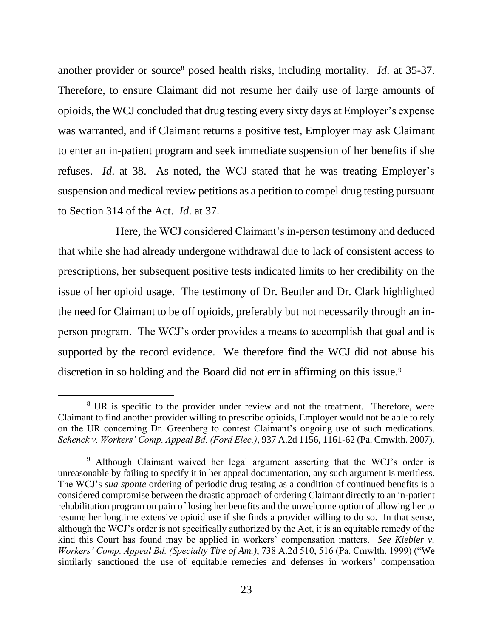another provider or source<sup>8</sup> posed health risks, including mortality. *Id.* at 35-37. Therefore, to ensure Claimant did not resume her daily use of large amounts of opioids, the WCJ concluded that drug testing every sixty days at Employer's expense was warranted, and if Claimant returns a positive test, Employer may ask Claimant to enter an in-patient program and seek immediate suspension of her benefits if she refuses. *Id*. at 38. As noted, the WCJ stated that he was treating Employer's suspension and medical review petitions as a petition to compel drug testing pursuant to Section 314 of the Act. *Id*. at 37.

Here, the WCJ considered Claimant's in-person testimony and deduced that while she had already undergone withdrawal due to lack of consistent access to prescriptions, her subsequent positive tests indicated limits to her credibility on the issue of her opioid usage. The testimony of Dr. Beutler and Dr. Clark highlighted the need for Claimant to be off opioids, preferably but not necessarily through an inperson program. The WCJ's order provides a means to accomplish that goal and is supported by the record evidence. We therefore find the WCJ did not abuse his discretion in so holding and the Board did not err in affirming on this issue.<sup>9</sup>

<sup>&</sup>lt;sup>8</sup> UR is specific to the provider under review and not the treatment. Therefore, were Claimant to find another provider willing to prescribe opioids, Employer would not be able to rely on the UR concerning Dr. Greenberg to contest Claimant's ongoing use of such medications. *Schenck v. Workers' Comp. Appeal Bd. (Ford Elec.)*, 937 A.2d 1156, 1161-62 (Pa. Cmwlth. 2007).

<sup>9</sup> Although Claimant waived her legal argument asserting that the WCJ's order is unreasonable by failing to specify it in her appeal documentation, any such argument is meritless. The WCJ's *sua sponte* ordering of periodic drug testing as a condition of continued benefits is a considered compromise between the drastic approach of ordering Claimant directly to an in-patient rehabilitation program on pain of losing her benefits and the unwelcome option of allowing her to resume her longtime extensive opioid use if she finds a provider willing to do so. In that sense, although the WCJ's order is not specifically authorized by the Act, it is an equitable remedy of the kind this Court has found may be applied in workers' compensation matters. *See Kiebler v. Workers' Comp. Appeal Bd. (Specialty Tire of Am.)*, 738 A.2d 510, 516 (Pa. Cmwlth. 1999) ("We similarly sanctioned the use of equitable remedies and defenses in workers' compensation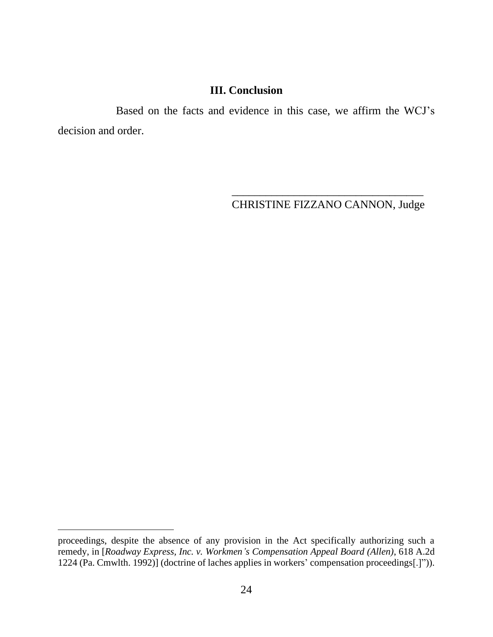# **III. Conclusion**

Based on the facts and evidence in this case, we affirm the WCJ's decision and order.

> \_\_\_\_\_\_\_\_\_\_\_\_\_\_\_\_\_\_\_\_\_\_\_\_\_\_\_\_\_\_\_\_\_\_ CHRISTINE FIZZANO CANNON, Judge

proceedings, despite the absence of any provision in the Act specifically authorizing such a remedy, in [*Roadway Express, Inc. v. Workmen's Compensation Appeal Board (Allen)*, 618 A.2d 1224 (Pa. Cmwlth. 1992)] (doctrine of laches applies in workers' compensation proceedings[.]")).